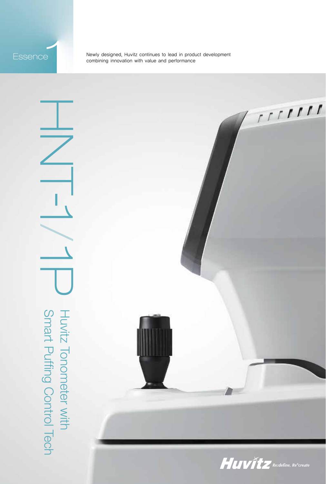ESSENCE<br>
Newly designed, Huvitz continues to lead in product development<br>
combining innovation with value and performance

 $\frac{1}{2}$ Smart Puffing Control Tech Huvitz Tonometer with Hech Hurry Control Tech Hurry Control Tech Hurry Tech Hurry Control Tech  $\overline{\phantom{a}}$  $\overline{\phantom{0}}$  $\overrightarrow{\text{U}}$ Huvitz Tonometer with<br>Smart Puffing Control Tech

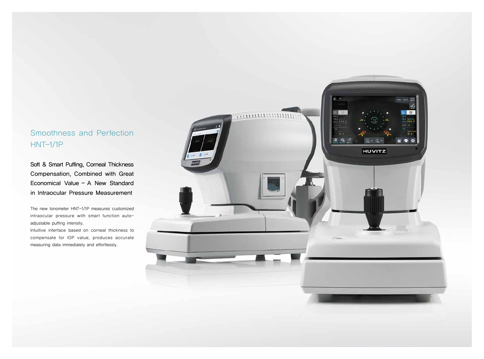# Smoothness and Perfection HNT-1/1P

Soft & Smart Puffing, Corneal Thickness Compensation, Combined with Great Economical Value - A New Standard in Intraocular Pressure Measurement

The new tonometer HNT-1/1P measures customized intraocular pressure with smart function autoadjustable puffing intensity.

Intuitive interface based on corneal thickness to compensate for IOP value, produces accurate measuring data immediately and effortlessly.

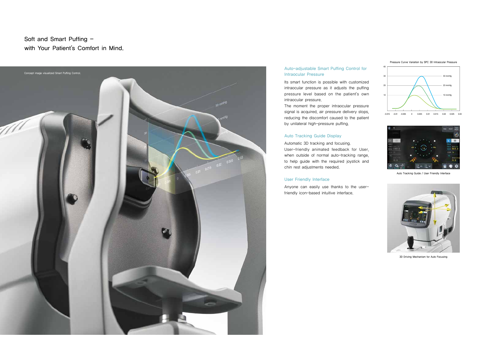Soft and Smart Puffing with Your Patient's Comfort in Mind.



### Auto-adjustable Smart Puffing Control for Intraocular Pressure

Its smart function is possible with customized intraocular pressure as it adjusts the puffing pressure level based on the patient's own intraocular pressure.



The moment the proper intraocular pressure signal is acquired, air pressure delivery stops, reducing the discomfort caused to the patient by unilateral high-pressure puffing.

### Auto Tracking Guide Display

Automatic 3D tracking and focusing. User-friendly animated feedback for User, when outside of normal auto-tracking range, to help guide with the required joystick and chin rest adjustments needed.

### User Friendly Interface

Anyone can easily use thanks to the userfriendly icon-based intuitive interface.



Auto Tracking Guide / User Friendly Interface



3D Driving Mechanism for Auto Focusing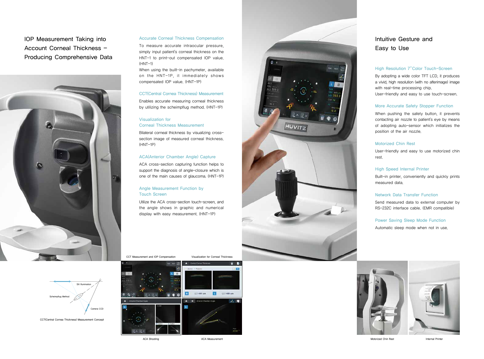# IOP Measurement Taking into Account Corneal Thickness -Producing Comprehensive Data



CCT Measurement and IOP Compensation

To measure accurate intraocular pressure, simply input patient's corneal thickness on the HNT-1 to print-out compensated IOP value.  $(HNT-1)$ 

ACA Shooting

Visualization for Corneal Thickness



ACA Measurement





### Accurate Corneal Thickness Compensation

When using the built-in pachymeter, available on the HNT-1P, it immediately shows compensated IOP value. (HNT-1P)

### CCT(Central Cornea Thickness) Measurement

Enables accurate measuring corneal thickness by utilizing the scheimpflug method. (HNT-1P)

### Visualization for Corneal Thickness Measurement

Bilateral corneal thickness by visualizing crosssection image of measured corneal thickness. (HNT-1P)

### ACA(Anterior Chamber Angle) Capture

ACA cross-section capturing function helps to support the diagnosis of angle-closure which is one of the main causes of glaucoma. (HNT-1P)

### Angle Measurement Function by Touch Screen

Utilize the ACA cross-section touch-screen, and the angle shows in graphic and numerical display with easy measurement. (HNT-1P)

### High Resolution 7''Color Touch-Screen

By adopting a wide color TFT LCD, it produces a vivid, high resolution (with no afterimage) image with real-time processing chip.

User-friendly and easy to use touch-screen.

### More Accurate Safety Stopper Function

When pushing the safety button, it prevents contacting air nozzle to patient's eye by means of adopting auto-sensor which initializes the position of the air nozzle.

### Motorized Chin Rest

User-friendly and easy to use motorized chin

rest.

### High Speed Internal Printer

Built-in printer, conveniently and quickly prints measured data.

### Network Data Transfer Function

Send measured data to external computer by RS-232C interface cable. (EMR compatible)

### Power Saving Sleep Mode Function

Motorized Chin Rest **Internal Printer** 

Automatic sleep mode when not in use.



# Intuitive Gesture and Easy to Use



**Clit Illumination** 

Scheimpflug Method